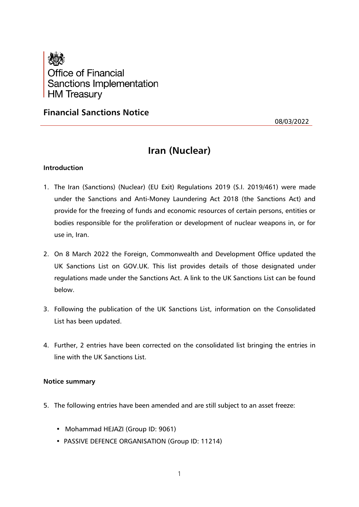

## **Financial Sanctions Notice**

08/03/2022

# **Iran (Nuclear)**

#### **Introduction**

- 1. The Iran (Sanctions) (Nuclear) (EU Exit) Regulations 2019 (S.I. 2019/461) were made under the Sanctions and Anti-Money Laundering Act 2018 (the Sanctions Act) and provide for the freezing of funds and economic resources of certain persons, entities or bodies responsible for the proliferation or development of nuclear weapons in, or for use in, Iran.
- 2. On 8 March 2022 the Foreign, Commonwealth and Development Office updated the UK Sanctions List on GOV.UK. This list provides details of those designated under regulations made under the Sanctions Act. A link to the UK Sanctions List can be found below.
- 3. Following the publication of the UK Sanctions List, information on the Consolidated List has been updated.
- 4. Further, 2 entries have been corrected on the consolidated list bringing the entries in line with the UK Sanctions List.

#### **Notice summary**

- 5. The following entries have been amended and are still subject to an asset freeze:
	- Mohammad HEJAZI (Group ID: 9061)
	- PASSIVE DEFENCE ORGANISATION (Group ID: 11214)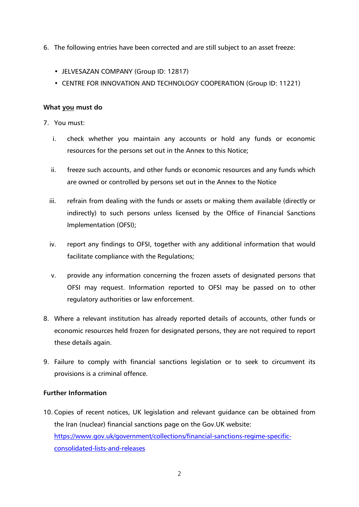- 6. The following entries have been corrected and are still subject to an asset freeze:
	- JELVESAZAN COMPANY (Group ID: 12817)
	- CENTRE FOR INNOVATION AND TECHNOLOGY COOPERATION (Group ID: 11221)

#### **What you must do**

- 7. You must:
	- i. check whether you maintain any accounts or hold any funds or economic resources for the persons set out in the Annex to this Notice;
	- ii. freeze such accounts, and other funds or economic resources and any funds which are owned or controlled by persons set out in the Annex to the Notice
	- iii. refrain from dealing with the funds or assets or making them available (directly or indirectly) to such persons unless licensed by the Office of Financial Sanctions Implementation (OFSI);
	- iv. report any findings to OFSI, together with any additional information that would facilitate compliance with the Regulations;
	- v. provide any information concerning the frozen assets of designated persons that OFSI may request. Information reported to OFSI may be passed on to other regulatory authorities or law enforcement.
- 8. Where a relevant institution has already reported details of accounts, other funds or economic resources held frozen for designated persons, they are not required to report these details again.
- 9. Failure to comply with financial sanctions legislation or to seek to circumvent its provisions is a criminal offence.

### **Further Information**

10. Copies of recent notices, UK legislation and relevant guidance can be obtained from the Iran (nuclear) financial sanctions page on the Gov.UK website: [https://www.gov.uk/government/collections/financial-sanctions-regime-specific](https://www.gov.uk/government/collections/financial-sanctions-regime-specific-consolidated-lists-and-releases)[consolidated-lists-and-releases](https://www.gov.uk/government/collections/financial-sanctions-regime-specific-consolidated-lists-and-releases)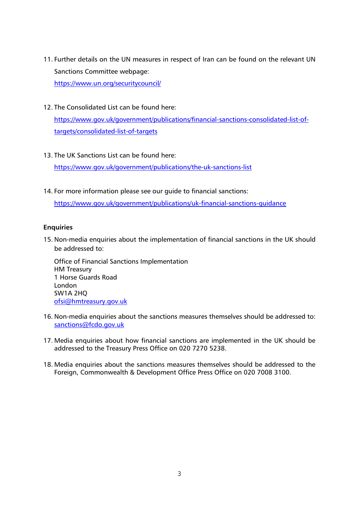- 11. Further details on the UN measures in respect of Iran can be found on the relevant UN Sanctions Committee webpage: <https://www.un.org/securitycouncil/>
- 12. The Consolidated List can be found here:

[https://www.gov.uk/government/publications/financial-sanctions-consolidated-list-of](https://www.gov.uk/government/publications/financial-sanctions-consolidated-list-of-targets/consolidated-list-of-targets)[targets/consolidated-list-of-targets](https://www.gov.uk/government/publications/financial-sanctions-consolidated-list-of-targets/consolidated-list-of-targets)

13. The UK Sanctions List can be found here:

<https://www.gov.uk/government/publications/the-uk-sanctions-list>

14. For more information please see our guide to financial sanctions:

<https://www.gov.uk/government/publications/uk-financial-sanctions-guidance>

## **Enquiries**

15. Non-media enquiries about the implementation of financial sanctions in the UK should be addressed to:

Office of Financial Sanctions Implementation HM Treasury 1 Horse Guards Road London SW1A 2HQ [ofsi@hmtreasury.gov.uk](mailto:ofsi@hmtreasury.gov.uk)

- 16. Non-media enquiries about the sanctions measures themselves should be addressed to: [sanctions@fcdo.gov.uk](mailto:sanctions@fcdo.gov.uk)
- 17. Media enquiries about how financial sanctions are implemented in the UK should be addressed to the Treasury Press Office on 020 7270 5238.
- 18. Media enquiries about the sanctions measures themselves should be addressed to the Foreign, Commonwealth & Development Office Press Office on 020 7008 3100.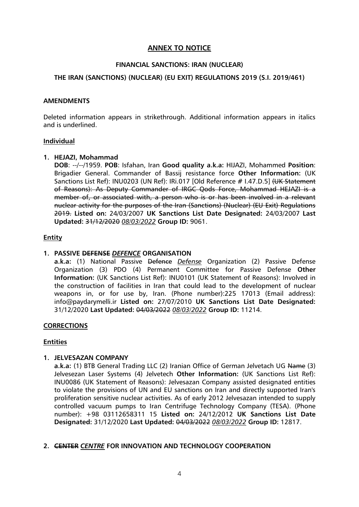## **ANNEX TO NOTICE**

#### **FINANCIAL SANCTIONS: IRAN (NUCLEAR)**

#### **THE IRAN (SANCTIONS) (NUCLEAR) (EU EXIT) REGULATIONS 2019 (S.I. 2019/461)**

#### **AMENDMENTS**

Deleted information appears in strikethrough. Additional information appears in italics and is underlined.

#### **Individual**

#### **1. HEJAZI, Mohammad**

**DOB**: --/--/1959. **POB**: Isfahan, Iran **Good quality a.k.a:** HIJAZI, Mohammed **Position**: Brigadier General. Commander of Bassij resistance force **Other Information:** (UK Sanctions List Ref): INU0203 (UN Ref): IRi.017 [Old Reference # I.47.D.5] (UK Statement of Reasons): As Deputy Commander of IRGC Qods Force, Mohammad HEJAZI is a member of, or associated with, a person who is or has been involved in a relevant nuclear activity for the purposes of the Iran (Sanctions) (Nuclear) (EU Exit) Regulations 2019. **Listed on:** 24/03/2007 **UK Sanctions List Date Designated:** 24/03/2007 **Last Updated:** 31/12/2020 *08/03/2022* **Group ID:** 9061.

#### **Entity**

#### **1. PASSIVE DEFENSE** *DEFENCE* **ORGANISATION**

**a.k.a:** (1) National Passive Defence *Defense* Organization (2) Passive Defense Organization (3) PDO (4) Permanent Committee for Passive Defense **Other Information:** (UK Sanctions List Ref): INU0101 (UK Statement of Reasons): Involved in the construction of facilities in Iran that could lead to the development of nuclear weapons in, or for use by, Iran. (Phone number):225 17013 (Email address): info@paydarymelli.ir **Listed on:** 27/07/2010 **UK Sanctions List Date Designated:** 31/12/2020 **Last Updated:** 04/03/2022 *08/03/2022* **Group ID:** 11214.

#### **CORRECTIONS**

#### **Entities**

#### **1. JELVESAZAN COMPANY**

**a.k.a:** (1) BTB General Trading LLC (2) Iranian Office of German Jelvetach UG Name (3) Jelvesezan Laser Systems (4) Jelvetech **Other Information:** (UK Sanctions List Ref): INU0086 (UK Statement of Reasons): Jelvesazan Company assisted designated entities to violate the provisions of UN and EU sanctions on Iran and directly supported Iran's proliferation sensitive nuclear activities. As of early 2012 Jelvesazan intended to supply controlled vacuum pumps to Iran Centrifuge Technology Company (TESA). (Phone number): +98 03112658311 15 **Listed on:** 24/12/2012 **UK Sanctions List Date Designated:** 31/12/2020 **Last Updated:** 04/03/2022 *08/03/2022* **Group ID:** 12817.

#### **2. CENTER** *CENTRE* **FOR INNOVATION AND TECHNOLOGY COOPERATION**